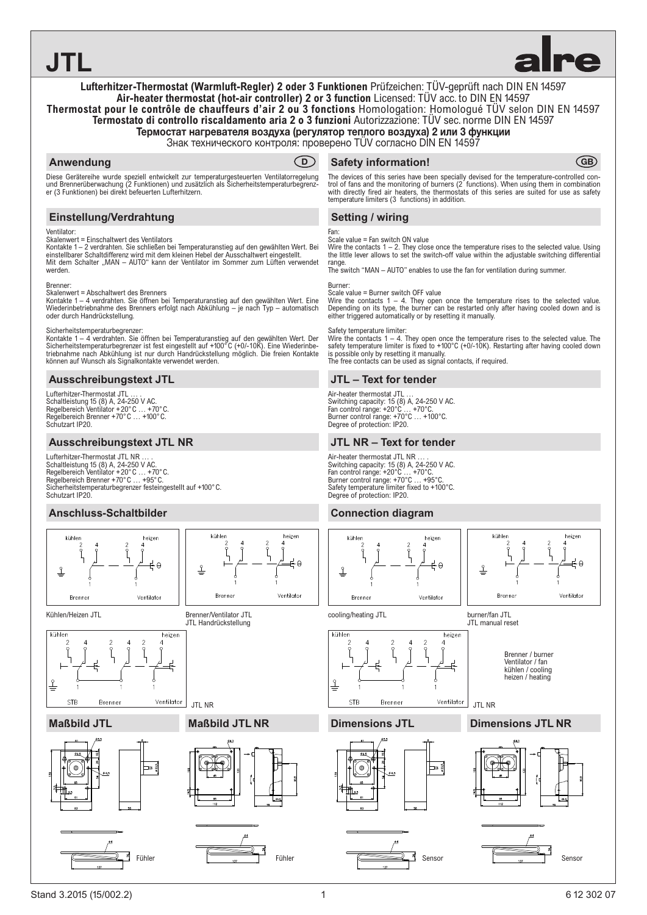**JTL**



## **Lufterhitzer-Thermostat (Warmluft-Regler) 2 oder 3 Funktionen** Prüfzeichen: TÜV-geprüft nach DIN EN 14597 **Air-heater thermostat (hot-air controller) 2 or 3 function** Licensed: TÜV acc. to DIN EN 14597 **Thermostat pour le contrôle de chauffeurs d'air 2 ou 3 fonctions** Homologation: Homologué TÜV selon DIN EN 14597 **Termostato di controllo riscaldamento aria 2 o 3 funzioni** Autorizzazione: TÜV sec. norme DIN EN 14597 Термостат нагревателя воздуха (регулятор теплого воздуха) 2 или 3 функции

Знак технического контроля: проверено TÜV согласно DIN EN 14597

# **Anwendung**



Diese Gerätereihe wurde speziell entwickelt zur temperaturgesteuerten Ventilatorregelung und Brennerüberwachung (2 Funktionen) und zusätzlich als Sicherheitstemperaturbegrenz-er (3 Funktionen) bei direkt befeuerten Lufterhitzern.

# **Einstellung/Verdrahtung**

#### Ventilator:

Skalenwert = Einschaltwert des Ventilators

Kontakte 1 – 2 verdrahten. Sie schließen bei Temperaturanstieg auf den gewählten Wert. Bei einstellbarer Schaltdifferenz wird mit dem kleinen Hebel der Ausschaltwert eingestellt.<br>Mit dem Schalter "MAN – AUTO" kann der Ventilator im Sommer zum Lüften verwendet werden.

#### Brenner:

Skalenwert = Abschaltwert des Brenners

Kontakte 1 – 4 verdrahten. Sie öffnen bei Temperaturanstieg auf den gewählten Wert. Eine<br>Wiederinbetriebnahme des Brenners erfolgt nach Abkühlung – je nach Typ – automatisch oder durch Handrückstellung.

Sicherheitstemperaturbegrenzer:<br>Kontakte 1 – 4 verdrahten. Sie öffnen bei Temperaturanstieg auf den gewählten Wert. Der<br>Sicherheitstemperaturbegrenzer ist fest eingestellt auf +100°C (+0/-10K). Eine Wiederinbe-<br>triebnahme können auf Wunsch als Signalkontakte verwendet werden.

## **Ausschreibungstext JTL**

Lufterhitzer-Thermostat JTL Schaltleistung 15 (8) A, 24-250 V AC. Regelbereich Ventilator +20°C … +70°C. Regelbereich Brenner +70°C … +100°C. Schutzart IP20.

## **Ausschreibungstext JTL NR**

Lufterhitzer-Thermostat JTL NR Schaltleistung 15 (8) A, 24-250 V AC. Regelbereich Ventilator +20°C … +70°C. Regelbereich Brenner +70°C … +95°C. Sicherheitstemperaturbegrenzer festeingestellt auf +100°C. Schutzart IP20.

## **Anschluss-Schaltbilder**



# **CGB** Safety information!

The devices of this series have been specially devised for the temperature-controlled control of fans and the monitoring of burners (2 functions). When using them in combination with directly fired air heaters, the thermostats of this series are suited for use as safety temperature limiters (3 functions) in addition.

# **Setting / wiring**

#### Fan:

Scale value = Fan switch ON value

Wire the contacts 1 – 2. They close once the temperature rises to the selected value. Using the little lever allows to set the switch-off value within the adjustable switching differential range.

The switch "MAN – AUTO" enables to use the fan for ventilation during summer.

#### Burner: Scale value = Burner switch OFF value

Wire the contacts 1 – 4. They open once the temperature rises to the selected value. Depending on its type, the burner can be restarted only after having cooled down and is either triggered automatically or by resetting it manually.

Safety temperature limiter:<br>Wire the contacts 1 – 4. They open once the temperature rises to the selected value. The<br>safety temperature limiter is fixed to +100°C (+0/-10K). Restarting after having cooled down is possible only by resetting it manually. The free contacts can be used as signal contacts, if required.

# **JTL – Text for tender**

Air-heater thermostat JTL … Switching capacity: 15 (8) A, 24-250 V AC.<br>Fan control range: +20°C … +70°C.<br>Burner control range: +70°C … +100°C.<br>Degree of protection: IP20.

## **JTL NR – Text for tender**

Air-heater thermostat JTL NR … . Switching capacity: 15 (8) A, 24-250 V AC. Fan control range: +20°C … +70°C. Burner control range: +70°C … +95°C. Safety temperature limiter fixed to +100°C. Degree of protection: IP20.

# **Connection diagram**



heize  $\overline{C}$ **Bren** Ventilator

cooling/heating JTL burner/fan JTL



**Dimensions JTL Dimensions JTL NR** 



JTL manual reset

JTL NR





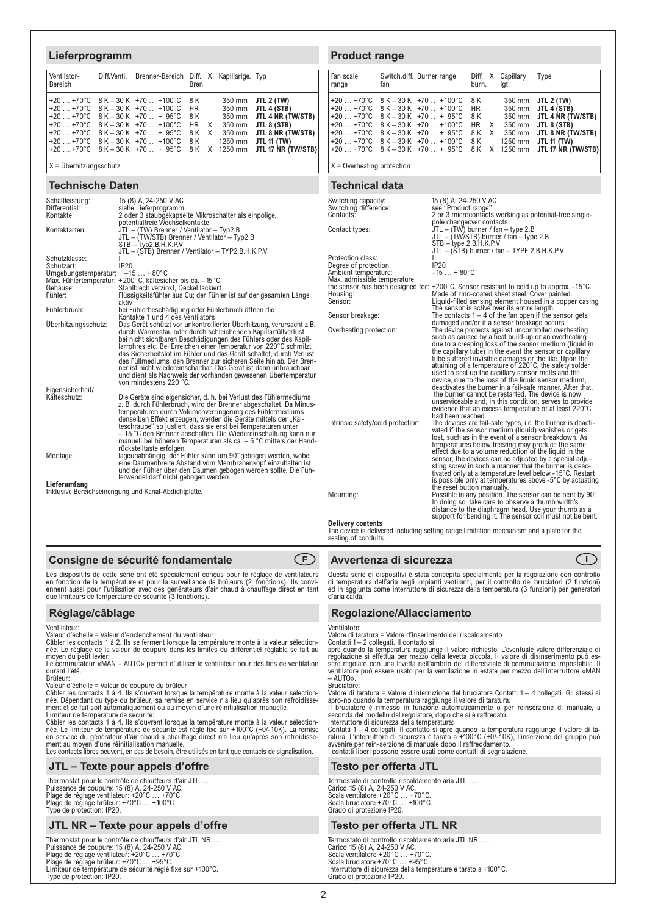## **Lieferprogramm**

| Ventilator-<br>Bereich | Diff. Venti. Brenner-Bereich Diff. X Kapillarlge. Typ                                                                                                                                                                                                            | Bren.       |  |                                                                                                                                                                                                        |
|------------------------|------------------------------------------------------------------------------------------------------------------------------------------------------------------------------------------------------------------------------------------------------------------|-------------|--|--------------------------------------------------------------------------------------------------------------------------------------------------------------------------------------------------------|
|                        | $+20+70°C$ 8 K - 30 K +70  +100°C 8 K<br>$+20+70°C$ 8 K - 30 K +70  +100 °C<br>$+20$ $+70^{\circ}$ C $8K-30K+70$ $+95^{\circ}$ C<br>$+20+70°C$ 8 K - 30 K +70  +100 °C<br>$+20+70°C$ $8K-30K+70+95°C$<br>$+20+70$ °C $8K-30K+70+100$ °C $8K$ 1250 mm JTL 11 (TW) | HR 1<br>8 K |  | 350 mm JTL 2 (TW)<br>350 mm JTL 4 (STB)<br>350 mm JTL 4 NR (TW/STB)<br>HR X 350 mm JTL 8 (STB)<br>8 K X 350 mm JTL 8 NR (TW/STB)<br>+20  +70°C 8 K - 30 K +70  + 95°C 8 K X 1250 mm JTL 17 NR (TW/STB) |

 $X = \ddot{\cup}$  berhitzungsschutz

#### **Technische Daten**

| Schaltleistung:<br>Differential:                     | 15 (8) A, 24-250 V AC<br>siehe Lieferprogramm                                                                                                                            |  |  |  |
|------------------------------------------------------|--------------------------------------------------------------------------------------------------------------------------------------------------------------------------|--|--|--|
| Kontakte:                                            | 2 oder 3 staubgekapselte Mikroschalter als einpolige,<br>potentialfreie Wechselkontakte                                                                                  |  |  |  |
| Kontaktarten:                                        | JTL - (TW) Brenner / Ventilator - Typ2.B<br>JTL - (TW/STB) Brenner / Ventilator - Typ2.B<br>$STB - Type2.B.H.K.P.V$<br>JTL - (STB) Brenner / Ventilator - TYP2.B.H.K.P.V |  |  |  |
| Schutzklasse:                                        |                                                                                                                                                                          |  |  |  |
| Schutzart:                                           | IP20                                                                                                                                                                     |  |  |  |
| Umgebungstemperatur: -15  +80°C                      |                                                                                                                                                                          |  |  |  |
|                                                      | Max. Fühlertemperatur: +200°C, kältesicher bis ca. -15°C                                                                                                                 |  |  |  |
| Gehäuse:<br>Fühler:                                  | Stahlblech verzinkt, Deckel lackiert                                                                                                                                     |  |  |  |
|                                                      | Flüssigkeitsfühler aus Cu; der Fühler ist auf der gesamten Länge<br>aktiv                                                                                                |  |  |  |
| Fühlerbruch:                                         | bei Fühlerbeschädigung oder Fühlerbruch öffnen die<br>Kontakte 1 und 4 des Ventilators                                                                                   |  |  |  |
| Überhitzungsschutz:                                  | Das Gerät schützt vor unkontrollierter Überhitzung, verursacht z.B.                                                                                                      |  |  |  |
|                                                      | durch Wärmestau oder durch schleichenden Kapillarfüllverlust                                                                                                             |  |  |  |
|                                                      | bei nicht sichtbaren Beschädigungen des Fühlers oder des Kapil-                                                                                                          |  |  |  |
|                                                      | larrohres etc. Bei Erreichen einer Temperatur von 220°C schmilzt                                                                                                         |  |  |  |
|                                                      | das Sicherheitslot im Fühler und das Gerät schaltet, durch Verlust                                                                                                       |  |  |  |
|                                                      | des Füllmediums, den Brenner zur sicheren Seite hin ab. Der Bren-                                                                                                        |  |  |  |
|                                                      | ner ist nicht wiedereinschaltbar. Das Gerät ist dann unbrauchbar                                                                                                         |  |  |  |
|                                                      | und dient als Nachweis der vorhanden gewesenen Übertemperatur<br>von mindestens 220 °C.                                                                                  |  |  |  |
| Eigensicherheit/                                     |                                                                                                                                                                          |  |  |  |
| Kälteschutz:                                         | Die Geräte sind eigensicher, d. h. bei Verlust des Fühlermediums                                                                                                         |  |  |  |
|                                                      | z. B. durch Fühlerbruch, wird der Brenner abgeschaltet. Da Minus-                                                                                                        |  |  |  |
|                                                      | temperaturen durch Volumenverringerung des Fühlermediums                                                                                                                 |  |  |  |
|                                                      | denselben Effekt erzeugen, werden die Geräte mittels der "Käl-                                                                                                           |  |  |  |
|                                                      | teschraube" so justiert, dass sie erst bei Temperaturen unter                                                                                                            |  |  |  |
|                                                      | - 15 °C den Brenner abschalten. Die Wiedereinschaltung kann nur                                                                                                          |  |  |  |
|                                                      | manuell bei höheren Temperaturen als ca. - 5 °C mittels der Hand-                                                                                                        |  |  |  |
| Montage:                                             | rückstelltaste erfolgen.<br>lageunabhängig; der Fühler kann um 90° gebogen werden, wobei                                                                                 |  |  |  |
|                                                      | eine Daumenbreite Abstand vom Membranenkopf einzuhalten ist                                                                                                              |  |  |  |
|                                                      | und der Fühler über den Daumen gebogen werden sollte. Die Füh-                                                                                                           |  |  |  |
|                                                      | lerwendel darf nicht gebogen werden.                                                                                                                                     |  |  |  |
| Lieferumfang                                         |                                                                                                                                                                          |  |  |  |
| Inklusive Bereichseinengung und Kanal-Abdichtplatte. |                                                                                                                                                                          |  |  |  |

## **Consigne de sécurité fondamentale**  $\qquad \qquad \qquad \textbf{(F)}$

Les dispositifs de cette série ont été spécialement conçus pour le réglage de ventilateurs<br>en fonction de la température et pour la surveillance de brûleurs (2 fonctions). Ils convi-<br>ennent aussi pour l'utilisation avec de

## **Réglage/câblage**

Ventilateur: Valeur d'échelle = Valeur d'enclenchement du ventilateur

Câbler les contacts 1 à 2. Ils se ferment lorsque la température monte à la valeur sélection-née. Le réglage de la valeur de coupure dans les limites du différentiel réglable se fait au moyen du petit levier.

Le commutateur «MAN – AUTO» permet d'utiliser le ventilateur pour des fins de ventilation durant l'été.<br>Brûleur:

Brûleur:<br>Valeur d'échelle = Valeur de coupure du brûleur<br>Câbler les contacts 1 à 4. Ils s'ouvrent lorsque la température monte à la valeur sélection-<br>née. Dépendant du type du brûleur, sa remise en service n'a lieu qu'aprè

Limiteur de température de sécurité:<br>Câbler les contacts 1 à 4. Ils s'ouvrent lorsque la température monte à la valeur sélection-<br>née. Le limiteur de température de sécurité est réglé fixe sur +100°C (+0/-10K). La remise en service du générateur d'air chaud à chauffage direct n'a lieu qu'après son refroidisse-<br>ment au moyen d'une réinitialisation manuelle.<br>Les contacts libres peuvent, en cas de besoin, être utilisés en tant que contacts de

## **JTL – Texte pour appels d'offre**

Thermostat pour le contrôle de chauffeurs d'air JTL … Puissance de coupure: 15 (8) A, 24-250 V AC. Plage de réglage ventilateur: +20°C … +70°C. Plage de réglage brûleur: +70°C … +100°C. Type de protection: IP20.

## **JTL NR – Texte pour appels d'offre**

Thermostat pour le contrôle de chauffeurs d'air JTL NR …<br>Puissance de coupure: 15 (8) A, 24-250 V AC.<br>Plage de réglage ventilateur: +20°C … +70°C.<br>Plage de réglage brûleur: +70°C … +95°C.<br>Limiteur de température de sécurit Type de protection: IP20.

### **Product range**

| Fan scale<br>range | Switch.diff. Burner range<br>fan                                                                                                                                                                                                                                                                          | burn.                                                                              | Diff. X Capillary<br>lat. | Type                                                                                                                                                         |
|--------------------|-----------------------------------------------------------------------------------------------------------------------------------------------------------------------------------------------------------------------------------------------------------------------------------------------------------|------------------------------------------------------------------------------------|---------------------------|--------------------------------------------------------------------------------------------------------------------------------------------------------------|
|                    | $+20+70°C$ 8 K - 30 K +70  +100°C<br>$+20+70°C$ 8 K - 30 K +70  +100°C<br>$+20+70°C$ 8 K - 30 K +70 $$ + 95°C<br>$+20+70°C$ 8 K - 30 K +70  +100°C<br>$+20+70°C$ 8 K - 30 K +70 $$ + 95°C<br>$+20+70°C$ 8 K - 30 K +70 $$ +100 °C<br>$+20+70$ °C 8 K – 30 K +70 $+95$ °C 8 K X 1250 mm JTL 17 NR (TW/STB) | 8 K<br><b>HR</b><br>8 K<br><b>HR</b><br>$\mathsf{X}$<br>8 K<br>$\mathsf{X}$<br>8 K |                           | 350 mm JTL 2 (TW)<br>350 mm JTL 4 (STB)<br>350 mm JTL 4 NR (TW/STB)  <br>350 mm JTL 8 (STB)<br>350 mm <b>JTL 8 NR (TW/STB)</b><br>1250 mm <b>JTL 11 (TW)</b> |

 $X =$  Overheating protection

#### **Technical data**

| Switching capacity:<br>Switching difference:<br>Contacts:                                         | 15 (8) A, 24-250 V AC<br>see "Product range"<br>2 or 3 microcontacts working as potential-free single-                                                                                                                                                                                                                                                                                                                                                                                                                                        |  |  |  |  |
|---------------------------------------------------------------------------------------------------|-----------------------------------------------------------------------------------------------------------------------------------------------------------------------------------------------------------------------------------------------------------------------------------------------------------------------------------------------------------------------------------------------------------------------------------------------------------------------------------------------------------------------------------------------|--|--|--|--|
| Contact types:                                                                                    | pole changeover contacts<br>$JTL - (TW)$ burner / fan - type 2.B<br>JTL - (TW/STB) burner / fan - type 2.B<br>$STB - type 2.B.H.K.P.V$<br>JTL - (\$TB) burner / fan - TYPE 2.B.H.K.P.V                                                                                                                                                                                                                                                                                                                                                        |  |  |  |  |
| Protection class:<br>Degree of protection:<br>Ambient temperature:<br>Max. admissible temperature | IP20<br>$-15 + 80^{\circ}C$                                                                                                                                                                                                                                                                                                                                                                                                                                                                                                                   |  |  |  |  |
| Housing:<br>Sensor:                                                                               | the sensor has been designed for: $+200^{\circ}$ C. Sensor resistant to cold up to approx. $-15^{\circ}$ C.<br>Made of zinc-coated sheet steel. Cover painted.<br>Liquid-filled sensing element housed in a copper casing.                                                                                                                                                                                                                                                                                                                    |  |  |  |  |
| Sensor breakage:                                                                                  | The sensor is active over its entire length.<br>The contacts $1 - 4$ of the fan open if the sensor gets                                                                                                                                                                                                                                                                                                                                                                                                                                       |  |  |  |  |
| Overheating protection:                                                                           | damaged and/or if a sensor breakage occurs.<br>The device protects against uncontrolled overheating<br>such as caused by a heat build-up or an overheating<br>due to a creeping loss of the sensor medium (liquid in<br>the capillary tube) in the event the sensor or capillary<br>tube suffered invisible damages or the like. Upon the<br>attaining of a temperature of 220°C, the safety solder                                                                                                                                           |  |  |  |  |
|                                                                                                   | used to seal up the capillary sensor melts and the<br>device, due to the loss of the liquid sensor medium,<br>deactivates the burner in a fail-safe manner. After that,<br>the burner cannot be restarted. The device is now<br>unserviceable and, in this condition, serves to provide<br>evidence that an excess temperature of at least 220°C<br>had been reached.                                                                                                                                                                         |  |  |  |  |
| Intrinsic safety/cold protection:                                                                 | The devices are fail-safe types, i.e. the burner is deacti-<br>vated if the sensor medium (liquid) vanishes or gets<br>lost, such as in the event of a sensor breakdown. As<br>temperatures below freezing may produce the same<br>effect due to a volume reduction of the liquid in the<br>sensor, the devices can be adjusted by a special adju-<br>sting screw in such a manner that the burner is deac-<br>tivated only at a temperature level below -15°C. Restart<br>is possible only at temperatures above $-5^{\circ}$ C by actuating |  |  |  |  |
| Mounting:                                                                                         | the reset button manually.<br>Possible in any position. The sensor can be bent by 90°.<br>In doing so, take care to observe a thumb width's<br>distance to the diaphragm head. Use your thumb as a<br>support for bending it. The sensor coil must not be bent.                                                                                                                                                                                                                                                                               |  |  |  |  |
| <b>Delivery contents</b>                                                                          | The device is delivered including setting range limitation mechanism and a plate for the                                                                                                                                                                                                                                                                                                                                                                                                                                                      |  |  |  |  |
|                                                                                                   |                                                                                                                                                                                                                                                                                                                                                                                                                                                                                                                                               |  |  |  |  |

sealing of conduits.

### **Avvertenza di sicurezza I**

Questa serie di dispositivi è stata concepita specialmente per la regolazione con controllo<br>di temperatura dell'aria negli impianti ventilanti, per il controllo dei bruciatori (2 funzioni)<br>ed in aggiunta come interruttore d'aria calda.

# **Regolazione/Allacciamento**

Ventilatore: Valore di taratura = Valore d'inserimento del riscaldamento

Contatti 1 – 2 collegati. Il contatto si<br>apre quando la temperatura raggiunge il valore richiesto. L'eventuale valore differenziale di<br>regolazione si effettua per mezzo della levetta piccola. Il valore di disinserimento pu  $\mu$ OTIJA – Bruciatore:

Valore di taratura = Valore d'interruzione del bruciatore Contatti 1 – 4 collegati. Gli stessi si apro-no quando la temperatura raggiunge il valore di taratura. Il bruciatore é rimesso in funzione automaticamente o per reinserzione di manuale, a

seconda del modello del regolatore, dopo che si é raffredato. Interruttore di sicurezza della temperatura:

Contatti 1 – 4 collegati. Il contatto si apre quando la temperatura raggiunge il valore di ta-<br>ratura. L'interruttore di sicurezza é tarato a +100°C (+0/-10K), l'inserzione del gruppo può<br>avvenire per rein-serzione di manu I contatti liberi possono essere usati come contatti di segnalazione.

## **Testo per offerta JTL**

Termostato di controllo riscaldamento aria JTL … . Carico 15 (8) A, 24-250 V AC. Scala ventilatore +20°C … +70°C. Scala bruciatore +70°C … +100°C. Grado di protezione IP20.

#### **Testo per offerta JTL NR**

Termostato di controllo riscaldamento aria JTL NR ... .<br>Carico 15 (8) A, 24-250 V AC.<br>Scala ventilatore +20°C ... +70°C.<br>Scala bruciatore +70°C ... +95°C.<br>Interruttore di sicurezza della temperature é tarato a +100°C.<br>Inte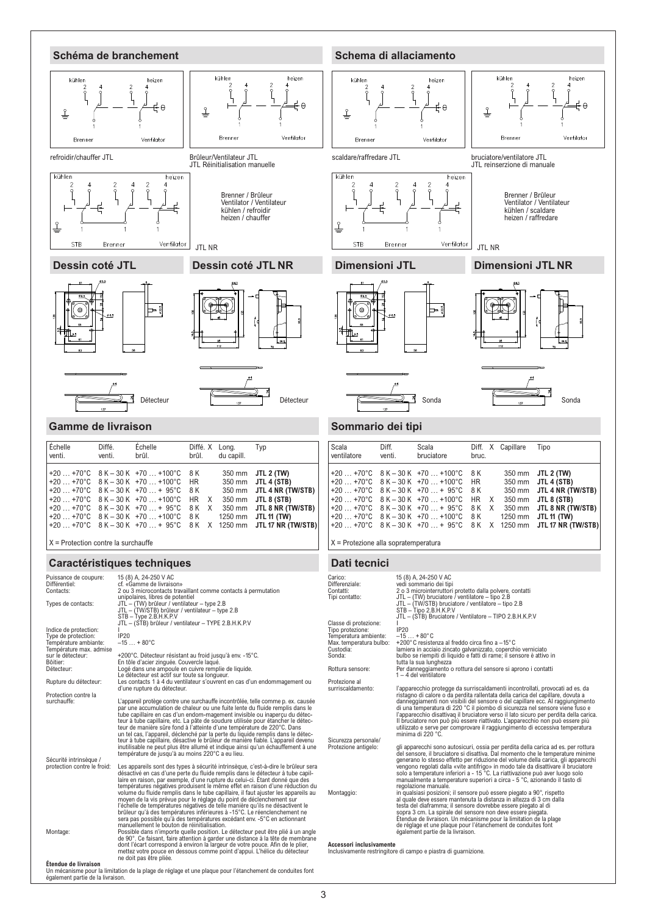

Un mécanisme pour la limitation de la plage de réglage et une plaque pour l'étanchement de conduites font également partie de la livraison.